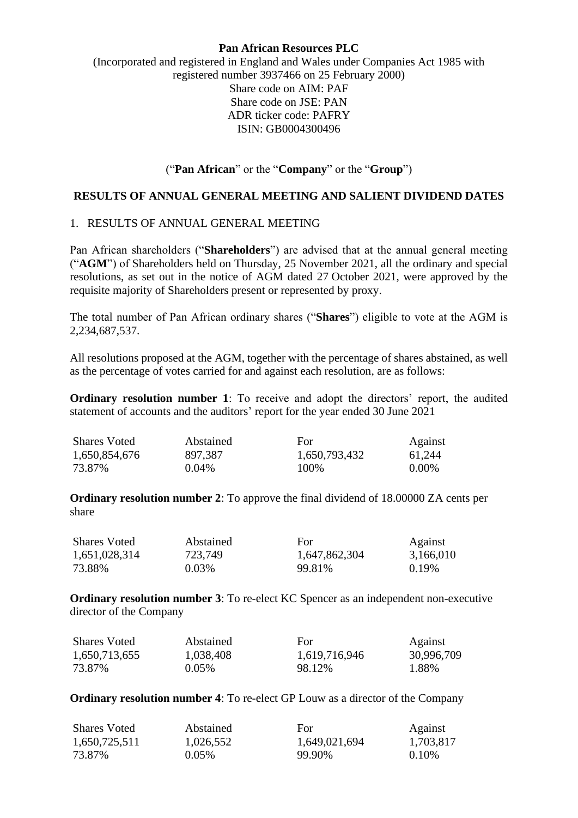## **Pan African Resources PLC**

(Incorporated and registered in England and Wales under Companies Act 1985 with registered number 3937466 on 25 February 2000) Share code on AIM: PAF Share code on JSE: PAN ADR ticker code: PAFRY ISIN: GB0004300496

# ("**Pan African**" or the "**Company**" or the "**Group**")

#### **RESULTS OF ANNUAL GENERAL MEETING AND SALIENT DIVIDEND DATES**

# 1. RESULTS OF ANNUAL GENERAL MEETING

Pan African shareholders ("**Shareholders**") are advised that at the annual general meeting ("**AGM**") of Shareholders held on Thursday, 25 November 2021, all the ordinary and special resolutions, as set out in the notice of AGM dated 27 October 2021, were approved by the requisite majority of Shareholders present or represented by proxy.

The total number of Pan African ordinary shares ("**Shares**") eligible to vote at the AGM is 2,234,687,537.

All resolutions proposed at the AGM, together with the percentage of shares abstained, as well as the percentage of votes carried for and against each resolution, are as follows:

**Ordinary resolution number 1**: To receive and adopt the directors' report, the audited statement of accounts and the auditors' report for the year ended 30 June 2021

| <b>Shares Voted</b> | Abstained | For           | Against  |
|---------------------|-----------|---------------|----------|
| 1,650,854,676       | 897,387   | 1,650,793,432 | 61,244   |
| 73.87%              | $0.04\%$  | 100\%         | $0.00\%$ |

**Ordinary resolution number 2:** To approve the final dividend of 18,00000 ZA cents per share

| <b>Shares Voted</b> | Abstained | For.          | Against   |
|---------------------|-----------|---------------|-----------|
| 1,651,028,314       | 723,749   | 1,647,862,304 | 3,166,010 |
| 73.88%              | $0.03\%$  | 99.81%        | $0.19\%$  |

**Ordinary resolution number 3**: To re-elect KC Spencer as an independent non-executive director of the Company

| <b>Shares Voted</b> | Abstained | For           | Against    |
|---------------------|-----------|---------------|------------|
| 1,650,713,655       | 1,038,408 | 1,619,716,946 | 30,996,709 |
| 73.87%              | $0.05\%$  | 98.12%        | 1.88%      |

**Ordinary resolution number 4**: To re-elect GP Louw as a director of the Company

| <b>Shares Voted</b> | Abstained | For.          | Against   |
|---------------------|-----------|---------------|-----------|
| 1,650,725,511       | 1,026,552 | 1,649,021,694 | 1,703,817 |
| 73.87%              | $0.05\%$  | 99.90%        | $0.10\%$  |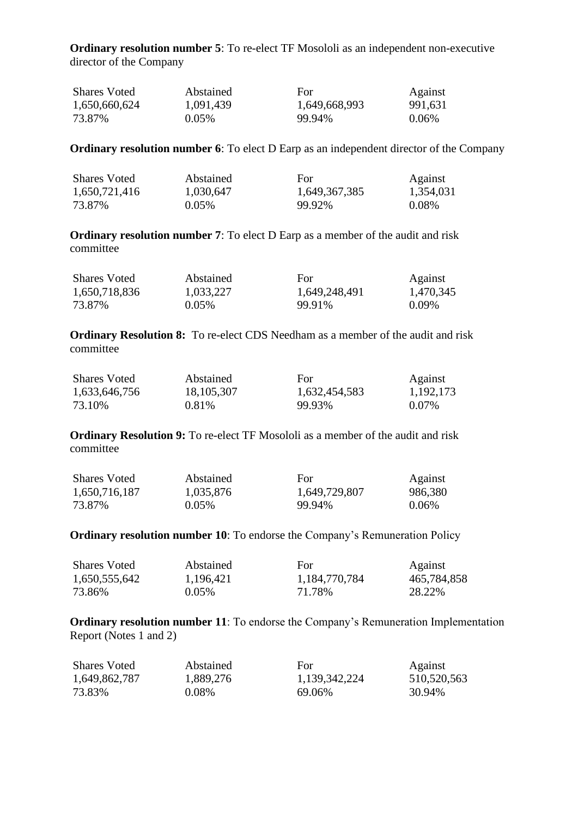**Ordinary resolution number 5**: To re-elect TF Mosololi as an independent non-executive director of the Company

| <b>Shares Voted</b> | Abstained | For           | Against  |
|---------------------|-----------|---------------|----------|
| 1,650,660,624       | 1,091,439 | 1,649,668,993 | 991,631  |
| 73.87%              | $0.05\%$  | 99.94%        | $0.06\%$ |

**Ordinary resolution number 6**: To elect D Earp as an independent director of the Company

| <b>Shares Voted</b> | Abstained | For           | Against   |
|---------------------|-----------|---------------|-----------|
| 1,650,721,416       | 1,030,647 | 1,649,367,385 | 1,354,031 |
| 73.87%              | $0.05\%$  | 99.92%        | $0.08\%$  |

**Ordinary resolution number 7**: To elect D Earp as a member of the audit and risk committee

| <b>Shares Voted</b> | Abstained | For           | Against   |
|---------------------|-----------|---------------|-----------|
| 1,650,718,836       | 1,033,227 | 1,649,248,491 | 1,470,345 |
| 73.87%              | $0.05\%$  | 99.91%        | $0.09\%$  |

**Ordinary Resolution 8:** To re-elect CDS Needham as a member of the audit and risk committee

| <b>Shares Voted</b> | Abstained    | For           | Against   |
|---------------------|--------------|---------------|-----------|
| 1,633,646,756       | 18, 105, 307 | 1,632,454,583 | 1,192,173 |
| 73.10%              | $0.81\%$     | 99.93%        | $0.07\%$  |

**Ordinary Resolution 9:** To re-elect TF Mosololi as a member of the audit and risk committee

| <b>Shares Voted</b> | Abstained | For           | Against  |
|---------------------|-----------|---------------|----------|
| 1,650,716,187       | 1,035,876 | 1,649,729,807 | 986,380  |
| 73.87%              | $0.05\%$  | 99.94%        | $0.06\%$ |

#### **Ordinary resolution number 10**: To endorse the Company's Remuneration Policy

| <b>Shares Voted</b> | Abstained | For           | Against     |
|---------------------|-----------|---------------|-------------|
| 1,650,555,642       | 1,196,421 | 1,184,770,784 | 465,784,858 |
| 73.86%              | $0.05\%$  | 71.78%        | 28.22\%     |

**Ordinary resolution number 11**: To endorse the Company's Remuneration Implementation Report (Notes 1 and 2)

| <b>Shares Voted</b> | Abstained | For           | Against     |
|---------------------|-----------|---------------|-------------|
| 1,649,862,787       | 1,889,276 | 1,139,342,224 | 510,520,563 |
| 73.83%              | 0.08%     | 69.06%        | 30.94%      |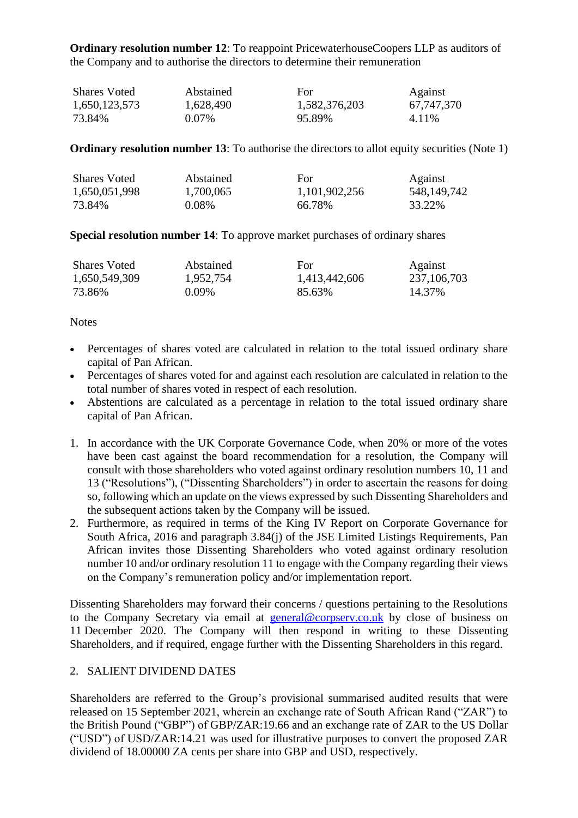**Ordinary resolution number 12:** To reappoint PricewaterhouseCoopers LLP as auditors of the Company and to authorise the directors to determine their remuneration

| <b>Shares Voted</b> | Abstained | For           | Against    |
|---------------------|-----------|---------------|------------|
| 1,650,123,573       | 1,628,490 | 1,582,376,203 | 67,747,370 |
| 73.84%              | $0.07\%$  | 95.89%        | 4.11%      |

## **Ordinary resolution number 13:** To authorise the directors to allot equity securities (Note 1)

| <b>Shares Voted</b> | Abstained | For.          | Against     |
|---------------------|-----------|---------------|-------------|
| 1,650,051,998       | 1,700,065 | 1,101,902,256 | 548,149,742 |
| 73.84%              | $0.08\%$  | 66.78%        | 33.22%      |

**Special resolution number 14**: To approve market purchases of ordinary shares

| <b>Shares Voted</b> | Abstained | For           | Against     |
|---------------------|-----------|---------------|-------------|
| 1,650,549,309       | 1,952,754 | 1,413,442,606 | 237,106,703 |
| 73.86%              | $0.09\%$  | 85.63%        | 14.37%      |

**Notes** 

- Percentages of shares voted are calculated in relation to the total issued ordinary share capital of Pan African.
- Percentages of shares voted for and against each resolution are calculated in relation to the total number of shares voted in respect of each resolution.
- Abstentions are calculated as a percentage in relation to the total issued ordinary share capital of Pan African.
- 1. In accordance with the UK Corporate Governance Code, when 20% or more of the votes have been cast against the board recommendation for a resolution, the Company will consult with those shareholders who voted against ordinary resolution numbers 10, 11 and 13 ("Resolutions"), ("Dissenting Shareholders") in order to ascertain the reasons for doing so, following which an update on the views expressed by such Dissenting Shareholders and the subsequent actions taken by the Company will be issued.
- 2. Furthermore, as required in terms of the King IV Report on Corporate Governance for South Africa, 2016 and paragraph 3.84(j) of the JSE Limited Listings Requirements, Pan African invites those Dissenting Shareholders who voted against ordinary resolution number 10 and/or ordinary resolution 11 to engage with the Company regarding their views on the Company's remuneration policy and/or implementation report.

Dissenting Shareholders may forward their concerns / questions pertaining to the Resolutions to the Company Secretary via email at [general@corpserv.co.uk](mailto:phil.dexter@corpserv.co.uk) by close of business on 11 December 2020. The Company will then respond in writing to these Dissenting Shareholders, and if required, engage further with the Dissenting Shareholders in this regard.

# 2. SALIENT DIVIDEND DATES

Shareholders are referred to the Group's provisional summarised audited results that were released on 15 September 2021, wherein an exchange rate of South African Rand ("ZAR") to the British Pound ("GBP") of GBP/ZAR:19.66 and an exchange rate of ZAR to the US Dollar ("USD") of USD/ZAR:14.21 was used for illustrative purposes to convert the proposed ZAR dividend of 18.00000 ZA cents per share into GBP and USD, respectively.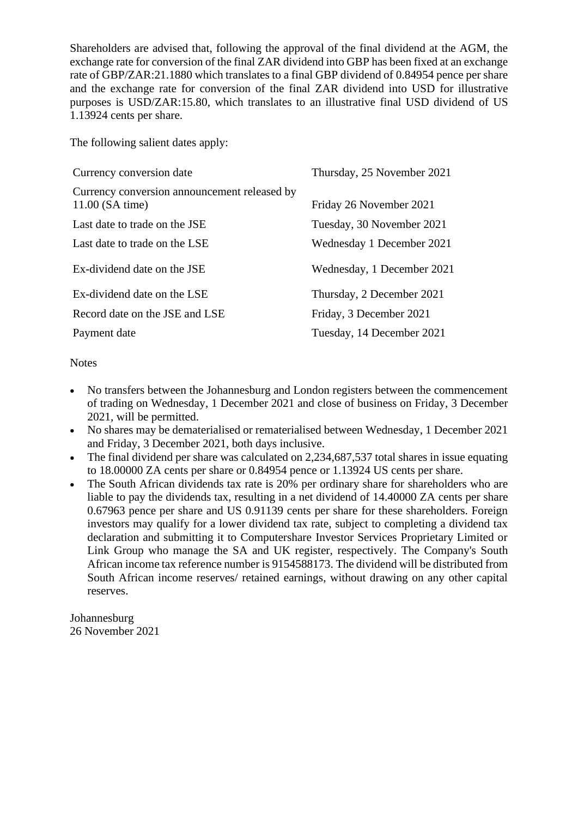Shareholders are advised that, following the approval of the final dividend at the AGM, the exchange rate for conversion of the final ZAR dividend into GBP has been fixed at an exchange rate of GBP/ZAR:21.1880 which translates to a final GBP dividend of 0.84954 pence per share and the exchange rate for conversion of the final ZAR dividend into USD for illustrative purposes is USD/ZAR:15.80, which translates to an illustrative final USD dividend of US 1.13924 cents per share.

The following salient dates apply:

| Currency conversion date                                          | Thursday, 25 November 2021 |
|-------------------------------------------------------------------|----------------------------|
| Currency conversion announcement released by<br>$11.00$ (SA time) | Friday 26 November 2021    |
| Last date to trade on the JSE                                     | Tuesday, 30 November 2021  |
| Last date to trade on the LSE                                     | Wednesday 1 December 2021  |
| Ex-dividend date on the JSE                                       | Wednesday, 1 December 2021 |
| Ex-dividend date on the LSE                                       | Thursday, 2 December 2021  |
| Record date on the JSE and LSE                                    | Friday, 3 December 2021    |
| Payment date                                                      | Tuesday, 14 December 2021  |

**Notes** 

- No transfers between the Johannesburg and London registers between the commencement of trading on Wednesday, 1 December 2021 and close of business on Friday, 3 December 2021, will be permitted.
- No shares may be dematerialised or rematerialised between Wednesday, 1 December 2021 and Friday, 3 December 2021, both days inclusive.
- The final dividend per share was calculated on 2,234,687,537 total shares in issue equating to 18.00000 ZA cents per share or 0.84954 pence or 1.13924 US cents per share.
- The South African dividends tax rate is 20% per ordinary share for shareholders who are liable to pay the dividends tax, resulting in a net dividend of 14.40000 ZA cents per share 0.67963 pence per share and US 0.91139 cents per share for these shareholders. Foreign investors may qualify for a lower dividend tax rate, subject to completing a dividend tax declaration and submitting it to Computershare Investor Services Proprietary Limited or Link Group who manage the SA and UK register, respectively. The Company's South African income tax reference number is 9154588173. The dividend will be distributed from South African income reserves/ retained earnings, without drawing on any other capital reserves.

Johannesburg 26 November 2021